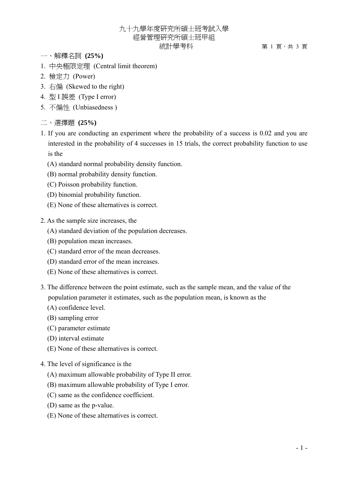## 九十九學年度研究所碩士班考試入學 經營管理研究所碩士班甲組 統計學考科 第 1 頁,共 3 頁

- 一、解釋名詞 **(25%)**
- 1. 中央極限定理 (Central limit theorem)
- 2. 檢定力 (Power)
- 3. 右偏 (Skewed to the right)
- 4. 型 I 誤差 (Type I error)
- 5. 不偏性 (Unbiasedness )
- 二、選擇題 **(25%)**
- 1. If you are conducting an experiment where the probability of a success is 0.02 and you are interested in the probability of 4 successes in 15 trials, the correct probability function to use is the
	- (A) standard normal probability density function.
	- (B) normal probability density function.
	- (C) Poisson probability function.
	- (D) binomial probability function.
	- (E) None of these alternatives is correct.
- 2. As the sample size increases, the
	- (A) standard deviation of the population decreases.
	- (B) population mean increases.
	- (C) standard error of the mean decreases.
	- (D) standard error of the mean increases.
	- (E) None of these alternatives is correct.
- 3. The difference between the point estimate, such as the sample mean, and the value of the population parameter it estimates, such as the population mean, is known as the
	- (A) confidence level.
	- (B) sampling error
	- (C) parameter estimate
	- (D) interval estimate
	- (E) None of these alternatives is correct.
- 4. The level of significance is the
	- (A) maximum allowable probability of Type II error.
	- (B) maximum allowable probability of Type I error.
	- (C) same as the confidence coefficient.
	- (D) same as the p-value.
	- (E) None of these alternatives is correct.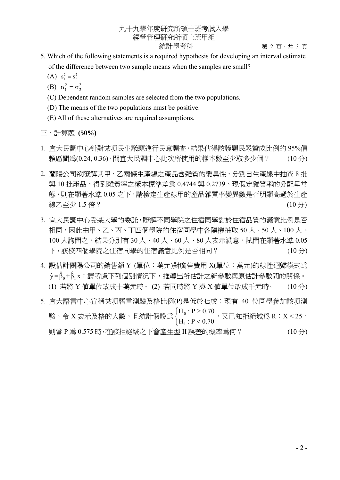## 九十九學年度研究所碩士班考試入學 經營管理研究所碩士班甲組 統計學考科 第 2 頁,共 3 頁

- 5. Which of the following statements is a required hypothesis for developing an interval estimate of the difference between two sample means when the samples are small?
- (A)  $s_1^2 = s_2^2$ 
	- (B)  $\sigma_1^2 = \sigma_2^2$
	- (C) Dependent random samples are selected from the two populations.
	- (D) The means of the two populations must be positive.
	- (E) All of these alternatives are required assumptions.

三、計算題 **(50%)** 

- 1. 宜大民調中心針對某項民生議題進行民意調查,結果估得該議題民眾贊成比例的 95%信 頼區間爲(0.24,0.36),問宜大民調中心此次所使用的樣本數至少取多少個? (10分)
- 2. 蘭陽公司欲瞭解其甲、乙兩條生產線之產品含雜質的變異性,分別自生產線中抽查 8 批 與 10 批產品,得到雜質率之樣本標進差為 0.4744 與 0.2739。現假定雜質率的分配呈常 態,則在顯著水準 0.05 之下,請檢定生產線甲的產品雜質率變異數是否明顯高過於生產 線乙至少 1.5 倍? (10 分)
- 3. 宜大民調中心受某大學的委託,瞭解不同學院之住宿同學對於住宿品質的滿意比例是否 相同,因此由甲、乙、丙、丁四個學院的住宿同學中各隨機抽取 50 人、50 人、100 人、 100 人詢問之,結果分別有 30 人、40 人、60 人、80 人表示滿意,試問在顯著水進 0.05 下,該校四個學院之住宿同學的住宿滿意比例是否相同? (10 分)
- 4. 設估計蘭陽公司的銷售額 Y (單位:萬元)對廣告費用 X(單位:萬元)的線性迴歸模式為  $\hat{\mathsf{y}} = \hat{\mathsf{b}}_0 + \hat{\mathsf{b}}_1$ x;請考慮下列個別情況下,推導出所估計之新參數與原估計參數間的關係。 (1) 若將 Y 值單位改成十萬元時。 (2) 若同時將 Y 與 X 值單位改成千元時。 (10 分)
- 5. 宜大語言中心宣稱某項語言測驗及格比例(P)是低於七成; 現有 40 位同學參加該項測 驗,令 X 表示及格的人數,且統計假設為  $\overline{a}$ ⎨  $\sqrt{ }$  $\lt$ ≥  $H_1$ : P < 0.70  $H_0$ :  $P \ge 0.70$ 1  $\frac{0.1 \leq 0.70}{\Sigma}$ , 又已知拒絕域爲 R:X < 25, 則當 P 為 0.575 時,在該拒絕域之下會產生型 II 誤差的機率為何? (10 分)